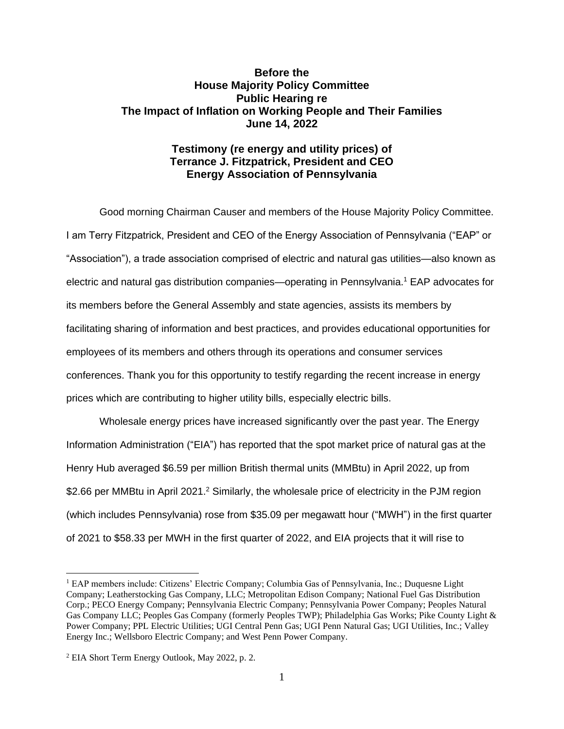## **Before the House Majority Policy Committee Public Hearing re The Impact of Inflation on Working People and Their Families June 14, 2022**

## **Testimony (re energy and utility prices) of Terrance J. Fitzpatrick, President and CEO Energy Association of Pennsylvania**

Good morning Chairman Causer and members of the House Majority Policy Committee. I am Terry Fitzpatrick, President and CEO of the Energy Association of Pennsylvania ("EAP" or "Association"), a trade association comprised of electric and natural gas utilities—also known as electric and natural gas distribution companies—operating in Pennsylvania.<sup>1</sup> EAP advocates for its members before the General Assembly and state agencies, assists its members by facilitating sharing of information and best practices, and provides educational opportunities for employees of its members and others through its operations and consumer services conferences. Thank you for this opportunity to testify regarding the recent increase in energy prices which are contributing to higher utility bills, especially electric bills.

Wholesale energy prices have increased significantly over the past year. The Energy Information Administration ("EIA") has reported that the spot market price of natural gas at the Henry Hub averaged \$6.59 per million British thermal units (MMBtu) in April 2022, up from \$2.66 per MMBtu in April 2021.<sup>2</sup> Similarly, the wholesale price of electricity in the PJM region (which includes Pennsylvania) rose from \$35.09 per megawatt hour ("MWH") in the first quarter of 2021 to \$58.33 per MWH in the first quarter of 2022, and EIA projects that it will rise to

<sup>1</sup> EAP members include: Citizens' Electric Company; Columbia Gas of Pennsylvania, Inc.; Duquesne Light Company; Leatherstocking Gas Company, LLC; Metropolitan Edison Company; National Fuel Gas Distribution Corp.; PECO Energy Company; Pennsylvania Electric Company; Pennsylvania Power Company; Peoples Natural Gas Company LLC; Peoples Gas Company (formerly Peoples TWP); Philadelphia Gas Works; Pike County Light & Power Company; PPL Electric Utilities; UGI Central Penn Gas; UGI Penn Natural Gas; UGI Utilities, Inc.; Valley Energy Inc.; Wellsboro Electric Company; and West Penn Power Company.

<sup>2</sup> EIA Short Term Energy Outlook, May 2022, p. 2.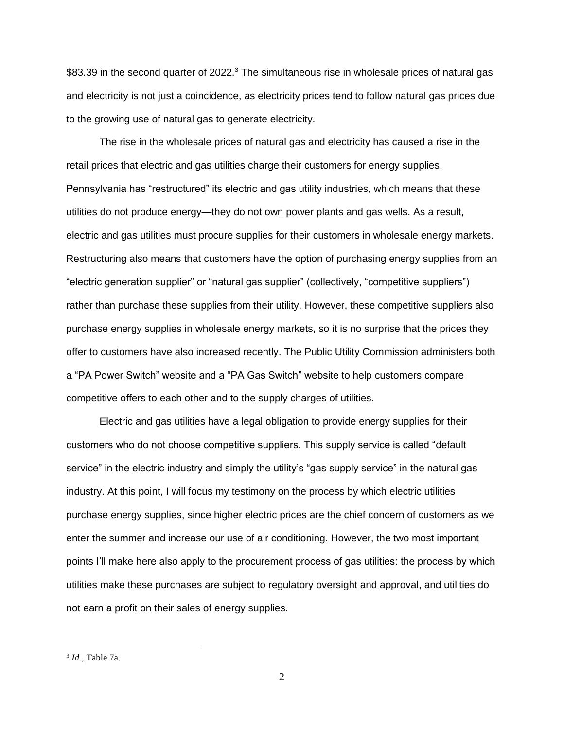\$83.39 in the second quarter of 2022.<sup>3</sup> The simultaneous rise in wholesale prices of natural gas and electricity is not just a coincidence, as electricity prices tend to follow natural gas prices due to the growing use of natural gas to generate electricity.

The rise in the wholesale prices of natural gas and electricity has caused a rise in the retail prices that electric and gas utilities charge their customers for energy supplies. Pennsylvania has "restructured" its electric and gas utility industries, which means that these utilities do not produce energy—they do not own power plants and gas wells. As a result, electric and gas utilities must procure supplies for their customers in wholesale energy markets. Restructuring also means that customers have the option of purchasing energy supplies from an "electric generation supplier" or "natural gas supplier" (collectively, "competitive suppliers") rather than purchase these supplies from their utility. However, these competitive suppliers also purchase energy supplies in wholesale energy markets, so it is no surprise that the prices they offer to customers have also increased recently. The Public Utility Commission administers both a "PA Power Switch" website and a "PA Gas Switch" website to help customers compare competitive offers to each other and to the supply charges of utilities.

Electric and gas utilities have a legal obligation to provide energy supplies for their customers who do not choose competitive suppliers. This supply service is called "default service" in the electric industry and simply the utility's "gas supply service" in the natural gas industry. At this point, I will focus my testimony on the process by which electric utilities purchase energy supplies, since higher electric prices are the chief concern of customers as we enter the summer and increase our use of air conditioning. However, the two most important points I'll make here also apply to the procurement process of gas utilities: the process by which utilities make these purchases are subject to regulatory oversight and approval, and utilities do not earn a profit on their sales of energy supplies.

<sup>3</sup> *Id.,* Table 7a.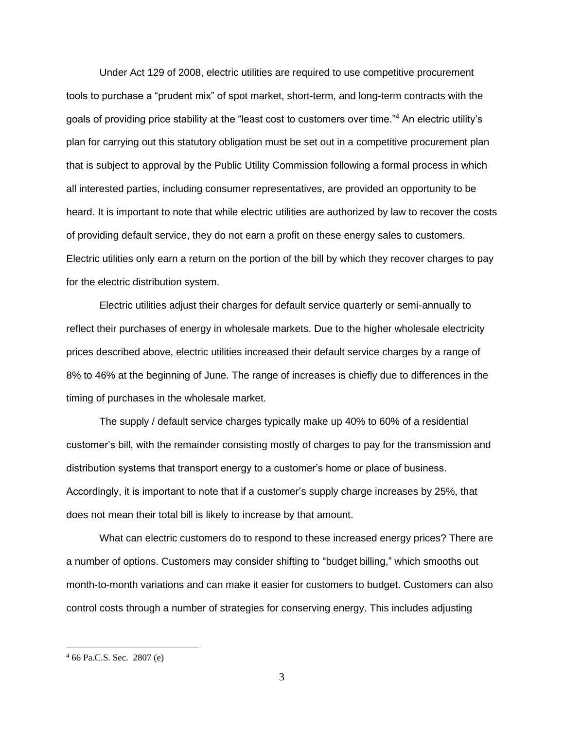Under Act 129 of 2008, electric utilities are required to use competitive procurement tools to purchase a "prudent mix" of spot market, short-term, and long-term contracts with the goals of providing price stability at the "least cost to customers over time."<sup>4</sup> An electric utility's plan for carrying out this statutory obligation must be set out in a competitive procurement plan that is subject to approval by the Public Utility Commission following a formal process in which all interested parties, including consumer representatives, are provided an opportunity to be heard. It is important to note that while electric utilities are authorized by law to recover the costs of providing default service, they do not earn a profit on these energy sales to customers. Electric utilities only earn a return on the portion of the bill by which they recover charges to pay for the electric distribution system.

Electric utilities adjust their charges for default service quarterly or semi-annually to reflect their purchases of energy in wholesale markets. Due to the higher wholesale electricity prices described above, electric utilities increased their default service charges by a range of 8% to 46% at the beginning of June. The range of increases is chiefly due to differences in the timing of purchases in the wholesale market.

The supply / default service charges typically make up 40% to 60% of a residential customer's bill, with the remainder consisting mostly of charges to pay for the transmission and distribution systems that transport energy to a customer's home or place of business. Accordingly, it is important to note that if a customer's supply charge increases by 25%, that does not mean their total bill is likely to increase by that amount.

What can electric customers do to respond to these increased energy prices? There are a number of options. Customers may consider shifting to "budget billing," which smooths out month-to-month variations and can make it easier for customers to budget. Customers can also control costs through a number of strategies for conserving energy. This includes adjusting

 $466$  Pa.C.S. Sec. 2807 (e)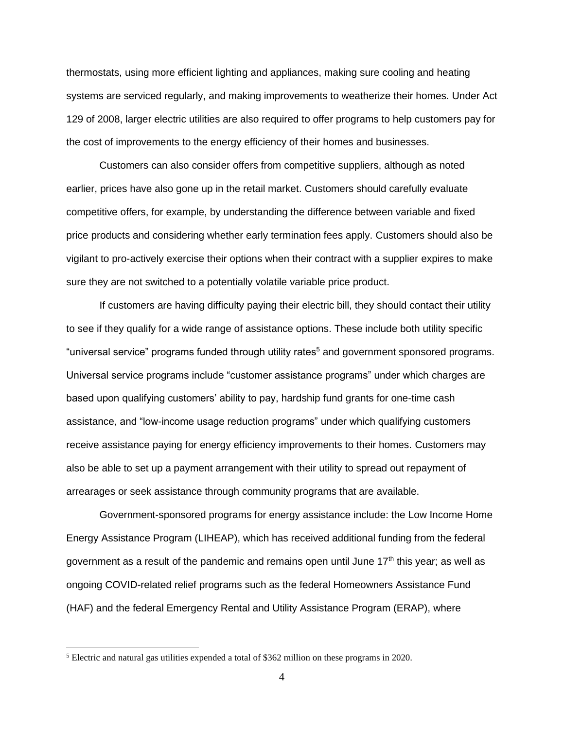thermostats, using more efficient lighting and appliances, making sure cooling and heating systems are serviced regularly, and making improvements to weatherize their homes. Under Act 129 of 2008, larger electric utilities are also required to offer programs to help customers pay for the cost of improvements to the energy efficiency of their homes and businesses.

Customers can also consider offers from competitive suppliers, although as noted earlier, prices have also gone up in the retail market. Customers should carefully evaluate competitive offers, for example, by understanding the difference between variable and fixed price products and considering whether early termination fees apply. Customers should also be vigilant to pro-actively exercise their options when their contract with a supplier expires to make sure they are not switched to a potentially volatile variable price product.

If customers are having difficulty paying their electric bill, they should contact their utility to see if they qualify for a wide range of assistance options. These include both utility specific "universal service" programs funded through utility rates<sup>5</sup> and government sponsored programs. Universal service programs include "customer assistance programs" under which charges are based upon qualifying customers' ability to pay, hardship fund grants for one-time cash assistance, and "low-income usage reduction programs" under which qualifying customers receive assistance paying for energy efficiency improvements to their homes. Customers may also be able to set up a payment arrangement with their utility to spread out repayment of arrearages or seek assistance through community programs that are available.

Government-sponsored programs for energy assistance include: the Low Income Home Energy Assistance Program (LIHEAP), which has received additional funding from the federal government as a result of the pandemic and remains open until June  $17<sup>th</sup>$  this year; as well as ongoing COVID-related relief programs such as the federal Homeowners Assistance Fund (HAF) and the federal Emergency Rental and Utility Assistance Program (ERAP), where

<sup>5</sup> Electric and natural gas utilities expended a total of \$362 million on these programs in 2020.